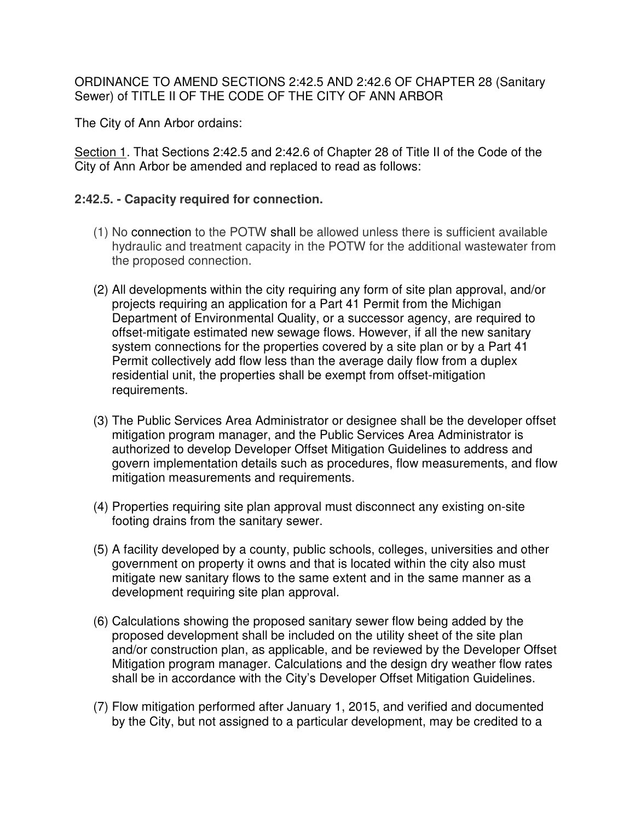## ORDINANCE TO AMEND SECTIONS 2:42.5 AND 2:42.6 OF CHAPTER 28 (Sanitary Sewer) of TITLE II OF THE CODE OF THE CITY OF ANN ARBOR

The City of Ann Arbor ordains:

Section 1. That Sections 2:42.5 and 2:42.6 of Chapter 28 of Title II of the Code of the City of Ann Arbor be amended and replaced to read as follows:

## **2:42.5. - Capacity required for connection.**

- (1) No connection to the POTW shall be allowed unless there is sufficient available hydraulic and treatment capacity in the POTW for the additional wastewater from the proposed connection.
- (2) All developments within the city requiring any form of site plan approval, and/or projects requiring an application for a Part 41 Permit from the Michigan Department of Environmental Quality, or a successor agency, are required to offset-mitigate estimated new sewage flows. However, if all the new sanitary system connections for the properties covered by a site plan or by a Part 41 Permit collectively add flow less than the average daily flow from a duplex residential unit, the properties shall be exempt from offset-mitigation requirements.
- (3) The Public Services Area Administrator or designee shall be the developer offset mitigation program manager, and the Public Services Area Administrator is authorized to develop Developer Offset Mitigation Guidelines to address and govern implementation details such as procedures, flow measurements, and flow mitigation measurements and requirements.
- (4) Properties requiring site plan approval must disconnect any existing on-site footing drains from the sanitary sewer.
- (5) A facility developed by a county, public schools, colleges, universities and other government on property it owns and that is located within the city also must mitigate new sanitary flows to the same extent and in the same manner as a development requiring site plan approval.
- (6) Calculations showing the proposed sanitary sewer flow being added by the proposed development shall be included on the utility sheet of the site plan and/or construction plan, as applicable, and be reviewed by the Developer Offset Mitigation program manager. Calculations and the design dry weather flow rates shall be in accordance with the City's Developer Offset Mitigation Guidelines.
- (7) Flow mitigation performed after January 1, 2015, and verified and documented by the City, but not assigned to a particular development, may be credited to a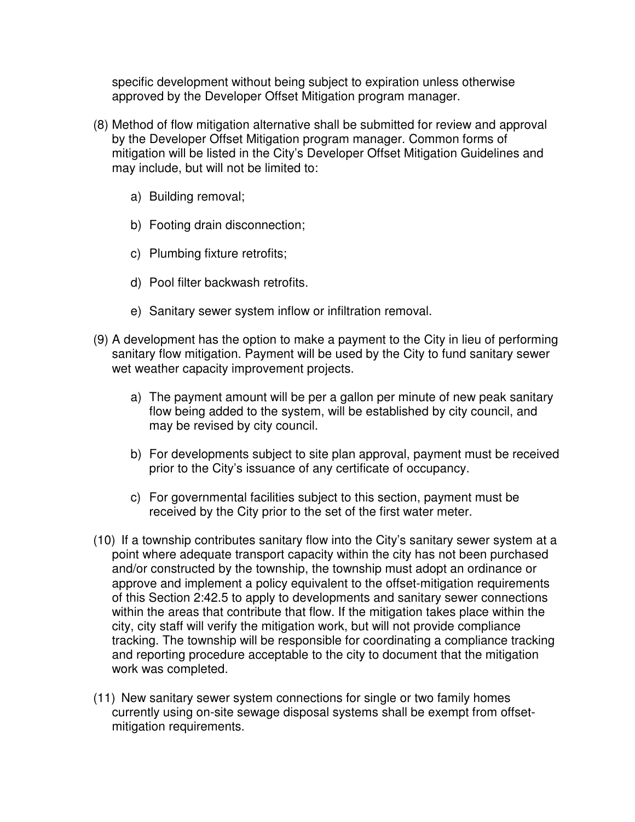specific development without being subject to expiration unless otherwise approved by the Developer Offset Mitigation program manager.

- (8) Method of flow mitigation alternative shall be submitted for review and approval by the Developer Offset Mitigation program manager. Common forms of mitigation will be listed in the City's Developer Offset Mitigation Guidelines and may include, but will not be limited to:
	- a) Building removal;
	- b) Footing drain disconnection;
	- c) Plumbing fixture retrofits;
	- d) Pool filter backwash retrofits.
	- e) Sanitary sewer system inflow or infiltration removal.
- (9) A development has the option to make a payment to the City in lieu of performing sanitary flow mitigation. Payment will be used by the City to fund sanitary sewer wet weather capacity improvement projects.
	- a) The payment amount will be per a gallon per minute of new peak sanitary flow being added to the system, will be established by city council, and may be revised by city council.
	- b) For developments subject to site plan approval, payment must be received prior to the City's issuance of any certificate of occupancy.
	- c) For governmental facilities subject to this section, payment must be received by the City prior to the set of the first water meter.
- (10) If a township contributes sanitary flow into the City's sanitary sewer system at a point where adequate transport capacity within the city has not been purchased and/or constructed by the township, the township must adopt an ordinance or approve and implement a policy equivalent to the offset-mitigation requirements of this Section 2:42.5 to apply to developments and sanitary sewer connections within the areas that contribute that flow. If the mitigation takes place within the city, city staff will verify the mitigation work, but will not provide compliance tracking. The township will be responsible for coordinating a compliance tracking and reporting procedure acceptable to the city to document that the mitigation work was completed.
- (11) New sanitary sewer system connections for single or two family homes currently using on-site sewage disposal systems shall be exempt from offsetmitigation requirements.